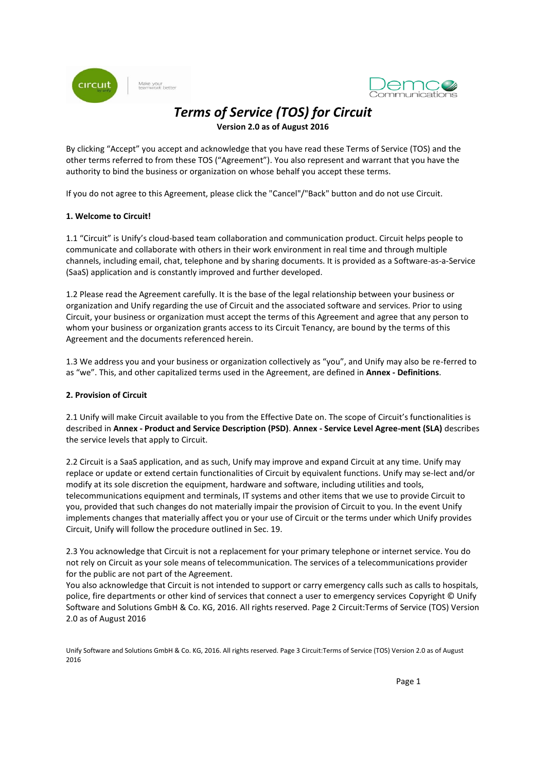

Make your<br>teamwork better



# *Terms of Service (TOS) for Circuit*

**Version 2.0 as of August 2016**

By clicking "Accept" you accept and acknowledge that you have read these Terms of Service (TOS) and the other terms referred to from these TOS ("Agreement"). You also represent and warrant that you have the authority to bind the business or organization on whose behalf you accept these terms.

If you do not agree to this Agreement, please click the "Cancel"/"Back" button and do not use Circuit.

# **1. Welcome to Circuit!**

1.1 "Circuit" is Unify's cloud-based team collaboration and communication product. Circuit helps people to communicate and collaborate with others in their work environment in real time and through multiple channels, including email, chat, telephone and by sharing documents. It is provided as a Software-as-a-Service (SaaS) application and is constantly improved and further developed.

1.2 Please read the Agreement carefully. It is the base of the legal relationship between your business or organization and Unify regarding the use of Circuit and the associated software and services. Prior to using Circuit, your business or organization must accept the terms of this Agreement and agree that any person to whom your business or organization grants access to its Circuit Tenancy, are bound by the terms of this Agreement and the documents referenced herein.

1.3 We address you and your business or organization collectively as "you", and Unify may also be re-ferred to as "we". This, and other capitalized terms used in the Agreement, are defined in **Annex - Definitions**.

# **2. Provision of Circuit**

2.1 Unify will make Circuit available to you from the Effective Date on. The scope of Circuit's functionalities is described in **Annex - Product and Service Description (PSD)**. **Annex - Service Level Agree-ment (SLA)** describes the service levels that apply to Circuit.

2.2 Circuit is a SaaS application, and as such, Unify may improve and expand Circuit at any time. Unify may replace or update or extend certain functionalities of Circuit by equivalent functions. Unify may se-lect and/or modify at its sole discretion the equipment, hardware and software, including utilities and tools, telecommunications equipment and terminals, IT systems and other items that we use to provide Circuit to you, provided that such changes do not materially impair the provision of Circuit to you. In the event Unify implements changes that materially affect you or your use of Circuit or the terms under which Unify provides Circuit, Unify will follow the procedure outlined in Sec. 19.

2.3 You acknowledge that Circuit is not a replacement for your primary telephone or internet service. You do not rely on Circuit as your sole means of telecommunication. The services of a telecommunications provider for the public are not part of the Agreement.

You also acknowledge that Circuit is not intended to support or carry emergency calls such as calls to hospitals, police, fire departments or other kind of services that connect a user to emergency services Copyright © Unify Software and Solutions GmbH & Co. KG, 2016. All rights reserved. Page 2 Circuit:Terms of Service (TOS) Version 2.0 as of August 2016

Unify Software and Solutions GmbH & Co. KG, 2016. All rights reserved. Page 3 Circuit:Terms of Service (TOS) Version 2.0 as of August 2016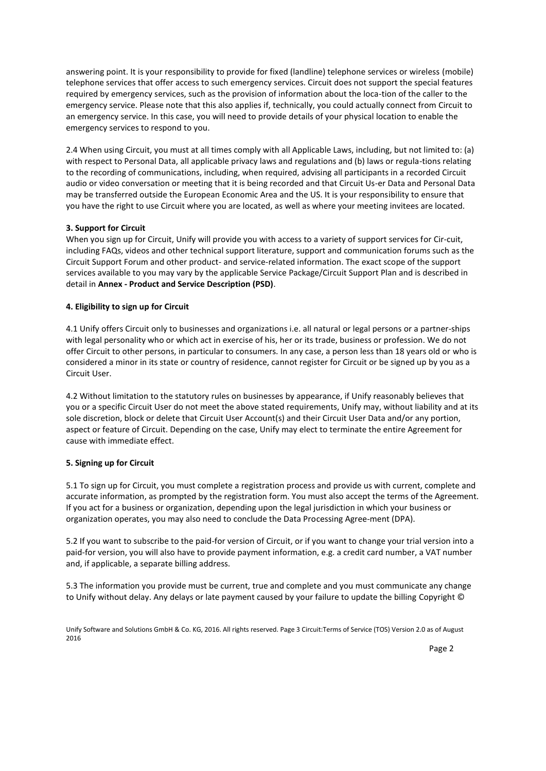answering point. It is your responsibility to provide for fixed (landline) telephone services or wireless (mobile) telephone services that offer access to such emergency services. Circuit does not support the special features required by emergency services, such as the provision of information about the loca-tion of the caller to the emergency service. Please note that this also applies if, technically, you could actually connect from Circuit to an emergency service. In this case, you will need to provide details of your physical location to enable the emergency services to respond to you.

2.4 When using Circuit, you must at all times comply with all Applicable Laws, including, but not limited to: (a) with respect to Personal Data, all applicable privacy laws and regulations and (b) laws or regula-tions relating to the recording of communications, including, when required, advising all participants in a recorded Circuit audio or video conversation or meeting that it is being recorded and that Circuit Us-er Data and Personal Data may be transferred outside the European Economic Area and the US. It is your responsibility to ensure that you have the right to use Circuit where you are located, as well as where your meeting invitees are located.

# **3. Support for Circuit**

When you sign up for Circuit, Unify will provide you with access to a variety of support services for Cir-cuit, including FAQs, videos and other technical support literature, support and communication forums such as the Circuit Support Forum and other product- and service-related information. The exact scope of the support services available to you may vary by the applicable Service Package/Circuit Support Plan and is described in detail in **Annex - Product and Service Description (PSD)**.

#### **4. Eligibility to sign up for Circuit**

4.1 Unify offers Circuit only to businesses and organizations i.e. all natural or legal persons or a partner-ships with legal personality who or which act in exercise of his, her or its trade, business or profession. We do not offer Circuit to other persons, in particular to consumers. In any case, a person less than 18 years old or who is considered a minor in its state or country of residence, cannot register for Circuit or be signed up by you as a Circuit User.

4.2 Without limitation to the statutory rules on businesses by appearance, if Unify reasonably believes that you or a specific Circuit User do not meet the above stated requirements, Unify may, without liability and at its sole discretion, block or delete that Circuit User Account(s) and their Circuit User Data and/or any portion, aspect or feature of Circuit. Depending on the case, Unify may elect to terminate the entire Agreement for cause with immediate effect.

#### **5. Signing up for Circuit**

5.1 To sign up for Circuit, you must complete a registration process and provide us with current, complete and accurate information, as prompted by the registration form. You must also accept the terms of the Agreement. If you act for a business or organization, depending upon the legal jurisdiction in which your business or organization operates, you may also need to conclude the Data Processing Agree-ment (DPA).

5.2 If you want to subscribe to the paid-for version of Circuit, or if you want to change your trial version into a paid-for version, you will also have to provide payment information, e.g. a credit card number, a VAT number and, if applicable, a separate billing address.

5.3 The information you provide must be current, true and complete and you must communicate any change to Unify without delay. Any delays or late payment caused by your failure to update the billing Copyright ©

Unify Software and Solutions GmbH & Co. KG, 2016. All rights reserved. Page 3 Circuit:Terms of Service (TOS) Version 2.0 as of August 2016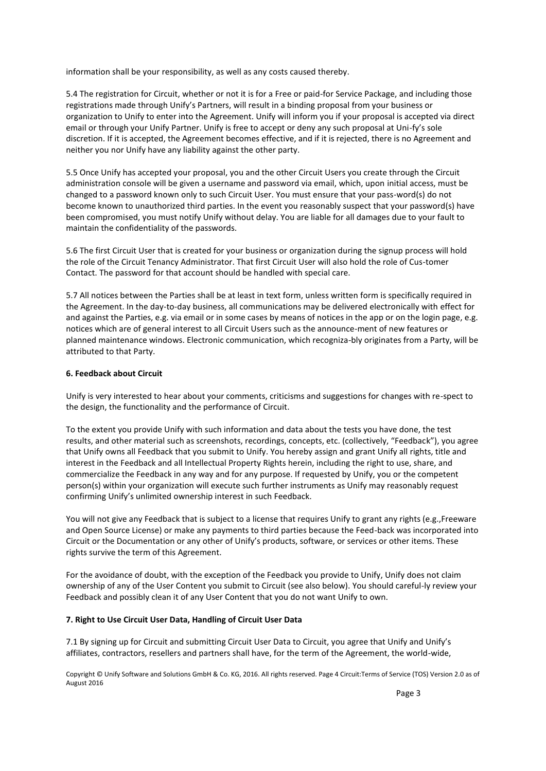information shall be your responsibility, as well as any costs caused thereby.

5.4 The registration for Circuit, whether or not it is for a Free or paid-for Service Package, and including those registrations made through Unify's Partners, will result in a binding proposal from your business or organization to Unify to enter into the Agreement. Unify will inform you if your proposal is accepted via direct email or through your Unify Partner. Unify is free to accept or deny any such proposal at Uni-fy's sole discretion. If it is accepted, the Agreement becomes effective, and if it is rejected, there is no Agreement and neither you nor Unify have any liability against the other party.

5.5 Once Unify has accepted your proposal, you and the other Circuit Users you create through the Circuit administration console will be given a username and password via email, which, upon initial access, must be changed to a password known only to such Circuit User. You must ensure that your pass-word(s) do not become known to unauthorized third parties. In the event you reasonably suspect that your password(s) have been compromised, you must notify Unify without delay. You are liable for all damages due to your fault to maintain the confidentiality of the passwords.

5.6 The first Circuit User that is created for your business or organization during the signup process will hold the role of the Circuit Tenancy Administrator. That first Circuit User will also hold the role of Cus-tomer Contact. The password for that account should be handled with special care.

5.7 All notices between the Parties shall be at least in text form, unless written form is specifically required in the Agreement. In the day-to-day business, all communications may be delivered electronically with effect for and against the Parties, e.g. via email or in some cases by means of notices in the app or on the login page, e.g. notices which are of general interest to all Circuit Users such as the announce-ment of new features or planned maintenance windows. Electronic communication, which recogniza-bly originates from a Party, will be attributed to that Party.

### **6. Feedback about Circuit**

Unify is very interested to hear about your comments, criticisms and suggestions for changes with re-spect to the design, the functionality and the performance of Circuit.

To the extent you provide Unify with such information and data about the tests you have done, the test results, and other material such as screenshots, recordings, concepts, etc. (collectively, "Feedback"), you agree that Unify owns all Feedback that you submit to Unify. You hereby assign and grant Unify all rights, title and interest in the Feedback and all Intellectual Property Rights herein, including the right to use, share, and commercialize the Feedback in any way and for any purpose. If requested by Unify, you or the competent person(s) within your organization will execute such further instruments as Unify may reasonably request confirming Unify's unlimited ownership interest in such Feedback.

You will not give any Feedback that is subject to a license that requires Unify to grant any rights (e.g., Freeware and Open Source License) or make any payments to third parties because the Feed-back was incorporated into Circuit or the Documentation or any other of Unify's products, software, or services or other items. These rights survive the term of this Agreement.

For the avoidance of doubt, with the exception of the Feedback you provide to Unify, Unify does not claim ownership of any of the User Content you submit to Circuit (see also below). You should careful-ly review your Feedback and possibly clean it of any User Content that you do not want Unify to own.

#### **7. Right to Use Circuit User Data, Handling of Circuit User Data**

7.1 By signing up for Circuit and submitting Circuit User Data to Circuit, you agree that Unify and Unify's affiliates, contractors, resellers and partners shall have, for the term of the Agreement, the world-wide,

Copyright © Unify Software and Solutions GmbH & Co. KG, 2016. All rights reserved. Page 4 Circuit:Terms of Service (TOS) Version 2.0 as of August 2016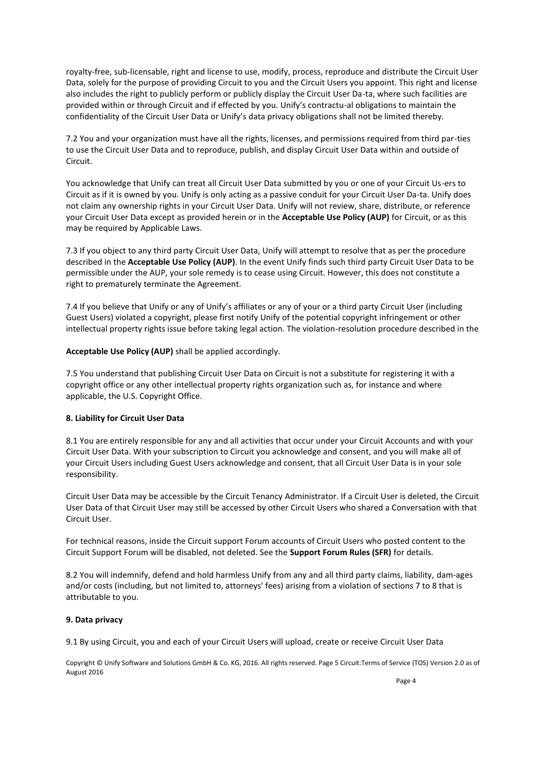royalty-free, sub-licensable, right and license to use, modify, process, reproduce and distribute the Circuit User Data, solely for the purpose of providing Circuit to you and the Circuit Users you appoint. This right and license also includes the right to publicly perform or publicly display the Circuit User Da-ta, where such facilities are provided within or through Circuit and if effected by you. Unify's contractu-al obligations to maintain the confidentiality of the Circuit User Data or Unify's data privacy obligations shall not be limited thereby.

7.2 You and your organization must have all the rights, licenses, and permissions required from third par-ties to use the Circuit User Data and to reproduce, publish, and display Circuit User Data within and outside of Circuit.

You acknowledge that Unify can treat all Circuit User Data submitted by you or one of your Circuit Us-ers to Circuit as if it is owned by you. Unify is only acting as a passive conduit for your Circuit User Da-ta. Unify does not claim any ownership rights in your Circuit User Data. Unify will not review, share, distribute, or reference your Circuit User Data except as provided herein or in the **Acceptable Use Policy (AUP)** for Circuit, or as this may be required by Applicable Laws.

7.3 If you object to any third party Circuit User Data, Unify will attempt to resolve that as per the procedure described in the **Acceptable Use Policy (AUP)**. In the event Unify finds such third party Circuit User Data to be permissible under the AUP, your sole remedy is to cease using Circuit. However, this does not constitute a right to prematurely terminate the Agreement.

7.4 If you believe that Unify or any of Unify's affiliates or any of your or a third party Circuit User (including Guest Users) violated a copyright, please first notify Unify of the potential copyright infringement or other intellectual property rights issue before taking legal action. The violation-resolution procedure described in the

**Acceptable Use Policy (AUP)** shall be applied accordingly.

7.5 You understand that publishing Circuit User Data on Circuit is not a substitute for registering it with a copyright office or any other intellectual property rights organization such as, for instance and where applicable, the U.S. Copyright Office.

# **8. Liability for Circuit User Data**

8.1 You are entirely responsible for any and all activities that occur under your Circuit Accounts and with your Circuit User Data. With your subscription to Circuit you acknowledge and consent, and you will make all of your Circuit Users including Guest Users acknowledge and consent, that all Circuit User Data is in your sole responsibility.

Circuit User Data may be accessible by the Circuit Tenancy Administrator. If a Circuit User is deleted, the Circuit User Data of that Circuit User may still be accessed by other Circuit Users who shared a Conversation with that Circuit User.

For technical reasons, inside the Circuit support Forum accounts of Circuit Users who posted content to the Circuit Support Forum will be disabled, not deleted. See the **Support Forum Rules (SFR)** for details.

8.2 You will indemnify, defend and hold harmless Unify from any and all third party claims, liability, dam-ages and/or costs (including, but not limited to, attorneys' fees) arising from a violation of sections 7 to 8 that is attributable to you.

# **9. Data privacy**

9.1 By using Circuit, you and each of your Circuit Users will upload, create or receive Circuit User Data

Copyright © Unify Software and Solutions GmbH & Co. KG, 2016. All rights reserved. Page 5 Circuit:Terms of Service (TOS) Version 2.0 as of August 2016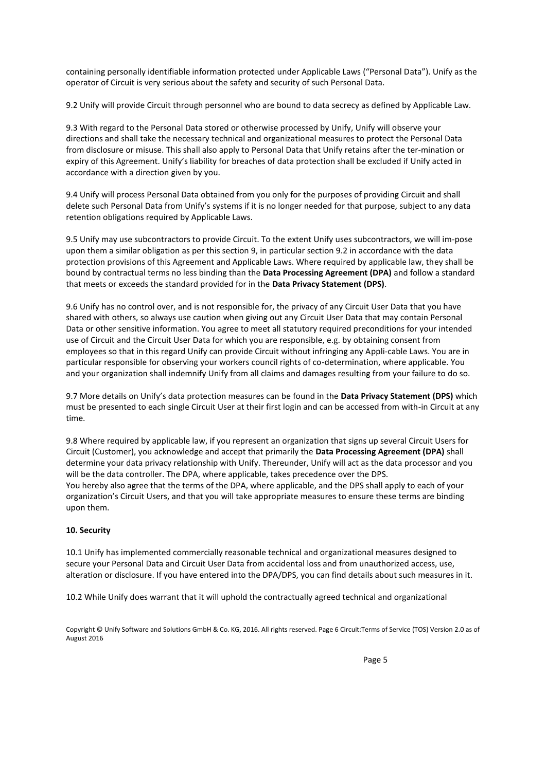containing personally identifiable information protected under Applicable Laws ("Personal Data"). Unify as the operator of Circuit is very serious about the safety and security of such Personal Data.

9.2 Unify will provide Circuit through personnel who are bound to data secrecy as defined by Applicable Law.

9.3 With regard to the Personal Data stored or otherwise processed by Unify, Unify will observe your directions and shall take the necessary technical and organizational measures to protect the Personal Data from disclosure or misuse. This shall also apply to Personal Data that Unify retains after the ter-mination or expiry of this Agreement. Unify's liability for breaches of data protection shall be excluded if Unify acted in accordance with a direction given by you.

9.4 Unify will process Personal Data obtained from you only for the purposes of providing Circuit and shall delete such Personal Data from Unify's systems if it is no longer needed for that purpose, subject to any data retention obligations required by Applicable Laws.

9.5 Unify may use subcontractors to provide Circuit. To the extent Unify uses subcontractors, we will im-pose upon them a similar obligation as per this section 9, in particular section 9.2 in accordance with the data protection provisions of this Agreement and Applicable Laws. Where required by applicable law, they shall be bound by contractual terms no less binding than the **Data Processing Agreement (DPA)** and follow a standard that meets or exceeds the standard provided for in the **Data Privacy Statement (DPS)**.

9.6 Unify has no control over, and is not responsible for, the privacy of any Circuit User Data that you have shared with others, so always use caution when giving out any Circuit User Data that may contain Personal Data or other sensitive information. You agree to meet all statutory required preconditions for your intended use of Circuit and the Circuit User Data for which you are responsible, e.g. by obtaining consent from employees so that in this regard Unify can provide Circuit without infringing any Appli-cable Laws. You are in particular responsible for observing your workers council rights of co-determination, where applicable. You and your organization shall indemnify Unify from all claims and damages resulting from your failure to do so.

9.7 More details on Unify's data protection measures can be found in the **Data Privacy Statement (DPS)** which must be presented to each single Circuit User at their first login and can be accessed from with-in Circuit at any time.

9.8 Where required by applicable law, if you represent an organization that signs up several Circuit Users for Circuit (Customer), you acknowledge and accept that primarily the **Data Processing Agreement (DPA)** shall determine your data privacy relationship with Unify. Thereunder, Unify will act as the data processor and you will be the data controller. The DPA, where applicable, takes precedence over the DPS. You hereby also agree that the terms of the DPA, where applicable, and the DPS shall apply to each of your organization's Circuit Users, and that you will take appropriate measures to ensure these terms are binding upon them.

# **10. Security**

10.1 Unify has implemented commercially reasonable technical and organizational measures designed to secure your Personal Data and Circuit User Data from accidental loss and from unauthorized access, use, alteration or disclosure. If you have entered into the DPA/DPS, you can find details about such measures in it.

10.2 While Unify does warrant that it will uphold the contractually agreed technical and organizational

Copyright © Unify Software and Solutions GmbH & Co. KG, 2016. All rights reserved. Page 6 Circuit:Terms of Service (TOS) Version 2.0 as of August 2016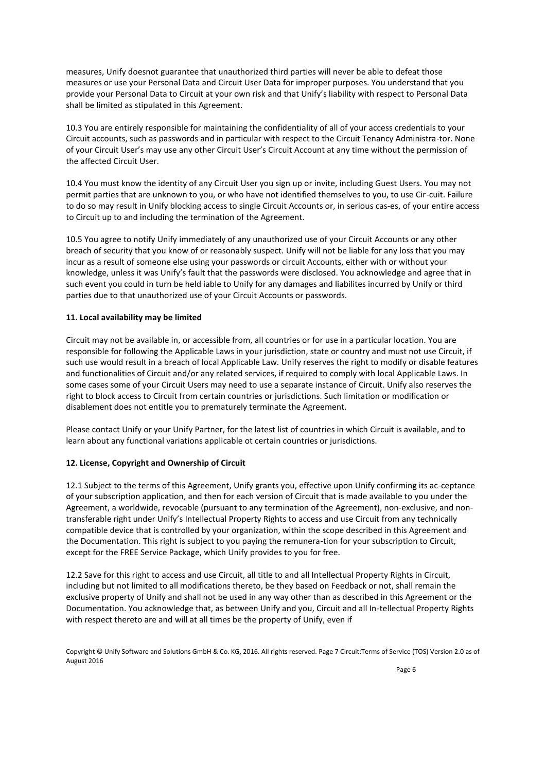measures, Unify doesnot guarantee that unauthorized third parties will never be able to defeat those measures or use your Personal Data and Circuit User Data for improper purposes. You understand that you provide your Personal Data to Circuit at your own risk and that Unify's liability with respect to Personal Data shall be limited as stipulated in this Agreement.

10.3 You are entirely responsible for maintaining the confidentiality of all of your access credentials to your Circuit accounts, such as passwords and in particular with respect to the Circuit Tenancy Administra-tor. None of your Circuit User's may use any other Circuit User's Circuit Account at any time without the permission of the affected Circuit User.

10.4 You must know the identity of any Circuit User you sign up or invite, including Guest Users. You may not permit parties that are unknown to you, or who have not identified themselves to you, to use Cir-cuit. Failure to do so may result in Unify blocking access to single Circuit Accounts or, in serious cas-es, of your entire access to Circuit up to and including the termination of the Agreement.

10.5 You agree to notify Unify immediately of any unauthorized use of your Circuit Accounts or any other breach of security that you know of or reasonably suspect. Unify will not be liable for any loss that you may incur as a result of someone else using your passwords or circuit Accounts, either with or without your knowledge, unless it was Unify's fault that the passwords were disclosed. You acknowledge and agree that in such event you could in turn be held iable to Unify for any damages and liabilites incurred by Unify or third parties due to that unauthorized use of your Circuit Accounts or passwords.

# **11. Local availability may be limited**

Circuit may not be available in, or accessible from, all countries or for use in a particular location. You are responsible for following the Applicable Laws in your jurisdiction, state or country and must not use Circuit, if such use would result in a breach of local Applicable Law. Unify reserves the right to modify or disable features and functionalities of Circuit and/or any related services, if required to comply with local Applicable Laws. In some cases some of your Circuit Users may need to use a separate instance of Circuit. Unify also reserves the right to block access to Circuit from certain countries or jurisdictions. Such limitation or modification or disablement does not entitle you to prematurely terminate the Agreement.

Please contact Unify or your Unify Partner, for the latest list of countries in which Circuit is available, and to learn about any functional variations applicable ot certain countries or jurisdictions.

# **12. License, Copyright and Ownership of Circuit**

12.1 Subject to the terms of this Agreement, Unify grants you, effective upon Unify confirming its ac-ceptance of your subscription application, and then for each version of Circuit that is made available to you under the Agreement, a worldwide, revocable (pursuant to any termination of the Agreement), non-exclusive, and nontransferable right under Unify's Intellectual Property Rights to access and use Circuit from any technically compatible device that is controlled by your organization, within the scope described in this Agreement and the Documentation. This right is subject to you paying the remunera-tion for your subscription to Circuit, except for the FREE Service Package, which Unify provides to you for free.

12.2 Save for this right to access and use Circuit, all title to and all Intellectual Property Rights in Circuit, including but not limited to all modifications thereto, be they based on Feedback or not, shall remain the exclusive property of Unify and shall not be used in any way other than as described in this Agreement or the Documentation. You acknowledge that, as between Unify and you, Circuit and all In-tellectual Property Rights with respect thereto are and will at all times be the property of Unify, even if

Copyright © Unify Software and Solutions GmbH & Co. KG, 2016. All rights reserved. Page 7 Circuit:Terms of Service (TOS) Version 2.0 as of August 2016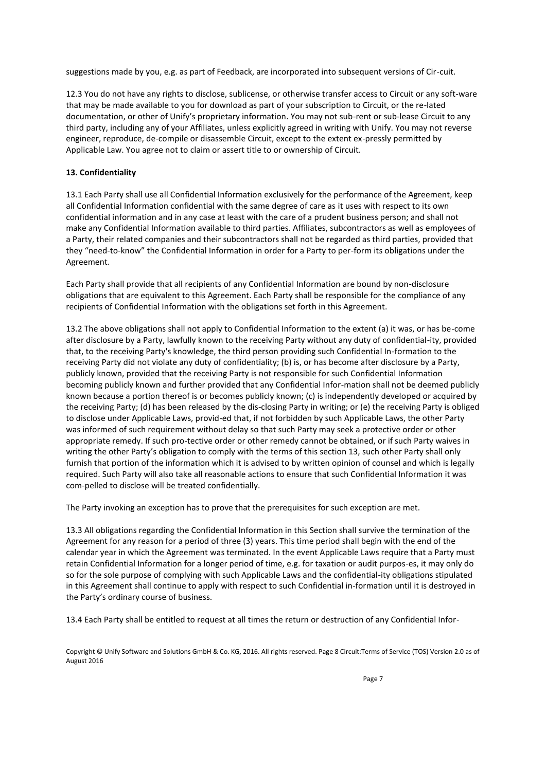suggestions made by you, e.g. as part of Feedback, are incorporated into subsequent versions of Cir-cuit.

12.3 You do not have any rights to disclose, sublicense, or otherwise transfer access to Circuit or any soft-ware that may be made available to you for download as part of your subscription to Circuit, or the re-lated documentation, or other of Unify's proprietary information. You may not sub-rent or sub-lease Circuit to any third party, including any of your Affiliates, unless explicitly agreed in writing with Unify. You may not reverse engineer, reproduce, de-compile or disassemble Circuit, except to the extent ex-pressly permitted by Applicable Law. You agree not to claim or assert title to or ownership of Circuit.

## **13. Confidentiality**

13.1 Each Par*t*y shall use all Confidential Information exclusively for the performance of the Agreement, keep all Confidential Information confidential with the same degree of care as it uses with respect to its own confidential information and in any case at least with the care of a prudent business person; and shall not make any Confidential Information available to third parties. Affiliates, subcontractors as well as employees of a Party, their related companies and their subcontractors shall not be regarded as third parties, provided that they "need-to-know" the Confidential Information in order for a Party to per-form its obligations under the Agreement.

Each Party shall provide that all recipients of any Confidential Information are bound by non-disclosure obligations that are equivalent to this Agreement. Each Party shall be responsible for the compliance of any recipients of Confidential Information with the obligations set forth in this Agreement.

13.2 The above obligations shall not apply to Confidential Information to the extent (a) it was, or has be-come after disclosure by a Party, lawfully known to the receiving Party without any duty of confidential-ity, provided that, to the receiving Party's knowledge, the third person providing such Confidential In-formation to the receiving Party did not violate any duty of confidentiality; (b) is, or has become after disclosure by a Party, publicly known, provided that the receiving Party is not responsible for such Confidential Information becoming publicly known and further provided that any Confidential Infor-mation shall not be deemed publicly known because a portion thereof is or becomes publicly known; (c) is independently developed or acquired by the receiving Party; (d) has been released by the dis-closing Party in writing; or (e) the receiving Party is obliged to disclose under Applicable Laws, provid-ed that, if not forbidden by such Applicable Laws, the other Party was informed of such requirement without delay so that such Party may seek a protective order or other appropriate remedy. If such pro-tective order or other remedy cannot be obtained, or if such Party waives in writing the other Party's obligation to comply with the terms of this section 13, such other Party shall only furnish that portion of the information which it is advised to by written opinion of counsel and which is legally required. Such Party will also take all reasonable actions to ensure that such Confidential Information it was com-pelled to disclose will be treated confidentially.

The Party invoking an exception has to prove that the prerequisites for such exception are met.

13.3 All obligations regarding the Confidential Information in this Section shall survive the termination of the Agreement for any reason for a period of three (3) years. This time period shall begin with the end of the calendar year in which the Agreement was terminated. In the event Applicable Laws require that a Party must retain Confidential Information for a longer period of time, e.g. for taxation or audit purpos-es, it may only do so for the sole purpose of complying with such Applicable Laws and the confidential-ity obligations stipulated in this Agreement shall continue to apply with respect to such Confidential in-formation until it is destroyed in the Party's ordinary course of business.

13.4 Each Party shall be entitled to request at all times the return or destruction of any Confidential Infor-

Copyright © Unify Software and Solutions GmbH & Co. KG, 2016. All rights reserved. Page 8 Circuit:Terms of Service (TOS) Version 2.0 as of August 2016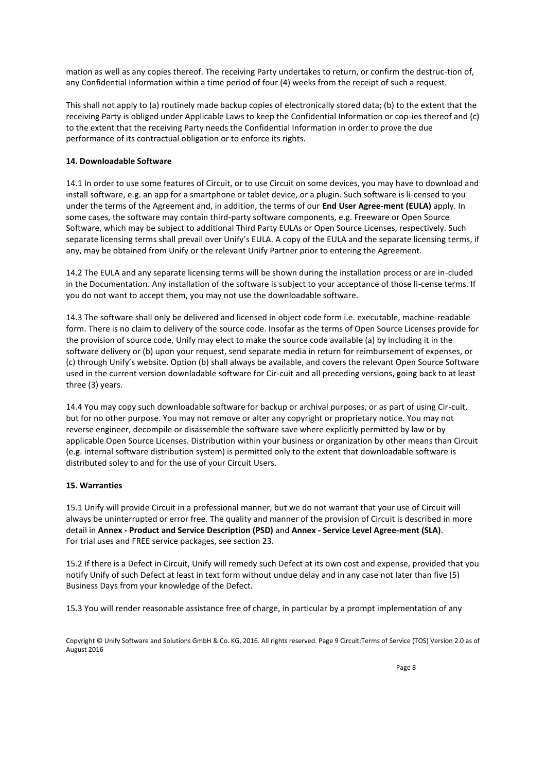mation as well as any copies thereof. The receiving Party undertakes to return, or confirm the destruc-tion of, any Confidential Information within a time period of four (4) weeks from the receipt of such a request.

This shall not apply to (a) routinely made backup copies of electronically stored data; (b) to the extent that the receiving Party is obliged under Applicable Laws to keep the Confidential Information or cop-ies thereof and (c) to the extent that the receiving Party needs the Confidential Information in order to prove the due performance of its contractual obligation or to enforce its rights.

# **14. Downloadable Software**

14.1 In order to use some features of Circuit, or to use Circuit on some devices, you may have to download and install software, e.g. an app for a smartphone or tablet device, or a plugin. Such software is li-censed to you under the terms of the Agreement and, in addition, the terms of our **End User Agree-ment (EULA)** apply. In some cases, the software may contain third-party software components, e.g. Freeware or Open Source Software, which may be subject to additional Third Party EULAs or Open Source Licenses, respectively. Such separate licensing terms shall prevail over Unify's EULA. A copy of the EULA and the separate licensing terms, if any, may be obtained from Unify or the relevant Unify Partner prior to entering the Agreement.

14.2 The EULA and any separate licensing terms will be shown during the installation process or are in-cluded in the Documentation. Any installation of the software is subject to your acceptance of those li-cense terms. If you do not want to accept them, you may not use the downloadable software.

14.3 The software shall only be delivered and licensed in object code form i.e. executable, machine-readable form. There is no claim to delivery of the source code. Insofar as the terms of Open Source Licenses provide for the provision of source code, Unify may elect to make the source code available (a) by including it in the software delivery or (b) upon your request, send separate media in return for reimbursement of expenses, or (c) through Unify's website. Option (b) shall always be available, and covers the relevant Open Source Software used in the current version downladable software for Cir-cuit and all preceding versions, going back to at least three (3) years.

14.4 You may copy such downloadable software for backup or archival purposes, or as part of using Cir-cuit, but for no other purpose. You may not remove or alter any copyright or proprietary notice. You may not reverse engineer, decompile or disassemble the software save where explicitly permitted by law or by applicable Open Source Licenses. Distribution within your business or organization by other means than Circuit (e.g. internal software distribution system) is permitted only to the extent that downloadable software is distributed soley to and for the use of your Circuit Users.

# **15. Warranties**

15.1 Unify will provide Circuit in a professional manner, but we do not warrant that your use of Circuit will always be uninterrupted or error free. The quality and manner of the provision of Circuit is described in more detail in **Annex - Product and Service Description (PSD)** and **Annex - Service Level Agree-ment (SLA)**. For trial uses and FREE service packages, see section 23.

15.2 If there is a Defect in Circuit, Unify will remedy such Defect at its own cost and expense, provided that you notify Unify of such Defect at least in text form without undue delay and in any case not later than five (5) Business Days from your knowledge of the Defect.

15.3 You will render reasonable assistance free of charge, in particular by a prompt implementation of any

Copyright © Unify Software and Solutions GmbH & Co. KG, 2016. All rights reserved. Page 9 Circuit:Terms of Service (TOS) Version 2.0 as of August 2016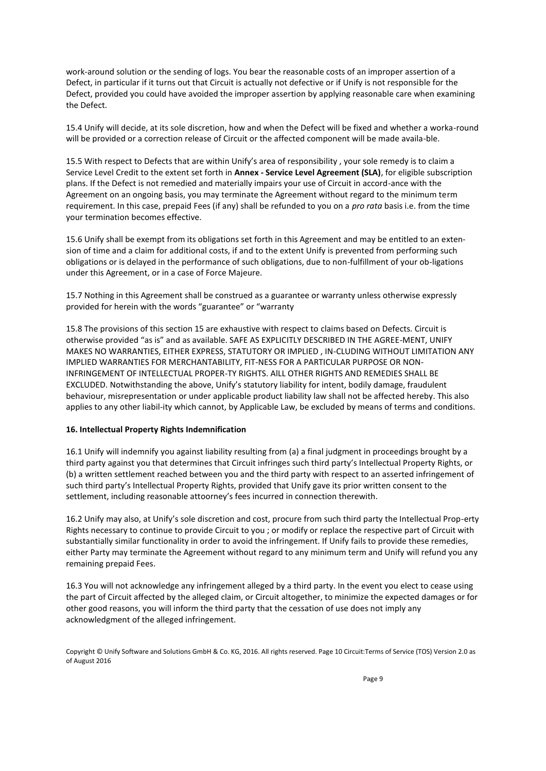work-around solution or the sending of logs. You bear the reasonable costs of an improper assertion of a Defect, in particular if it turns out that Circuit is actually not defective or if Unify is not responsible for the Defect, provided you could have avoided the improper assertion by applying reasonable care when examining the Defect.

15.4 Unify will decide, at its sole discretion, how and when the Defect will be fixed and whether a worka-round will be provided or a correction release of Circuit or the affected component will be made availa-ble.

15.5 With respect to Defects that are within Unify's area of responsibility , your sole remedy is to claim a Service Level Credit to the extent set forth in **Annex - Service Level Agreement (SLA)**, for eligible subscription plans. If the Defect is not remedied and materially impairs your use of Circuit in accord-ance with the Agreement on an ongoing basis, you may terminate the Agreement without regard to the minimum term requirement. In this case, prepaid Fees (if any) shall be refunded to you on a *pro rata* basis i.e. from the time your termination becomes effective.

15.6 Unify shall be exempt from its obligations set forth in this Agreement and may be entitled to an extension of time and a claim for additional costs, if and to the extent Unify is prevented from performing such obligations or is delayed in the performance of such obligations, due to non-fulfillment of your ob-ligations under this Agreement, or in a case of Force Majeure.

15.7 Nothing in this Agreement shall be construed as a guarantee or warranty unless otherwise expressly provided for herein with the words "guarantee" or "warranty

15.8 The provisions of this section 15 are exhaustive with respect to claims based on Defects. Circuit is otherwise provided "as is" and as available. SAFE AS EXPLICITLY DESCRIBED IN THE AGREE-MENT, UNIFY MAKES NO WARRANTIES, EITHER EXPRESS, STATUTORY OR IMPLIED , IN-CLUDING WITHOUT LIMITATION ANY IMPLIED WARRANTIES FOR MERCHANTABILITY, FIT-NESS FOR A PARTICULAR PURPOSE OR NON-INFRINGEMENT OF INTELLECTUAL PROPER-TY RIGHTS. AlLL OTHER RIGHTS AND REMEDIES SHALL BE EXCLUDED. Notwithstanding the above, Unify's statutory liability for intent, bodily damage, fraudulent behaviour, misrepresentation or under applicable product liability law shall not be affected hereby. This also applies to any other liabil-ity which cannot, by Applicable Law, be excluded by means of terms and conditions.

# **16. Intellectual Property Rights Indemnification**

16.1 Unify will indemnify you against liability resulting from (a) a final judgment in proceedings brought by a third party against you that determines that Circuit infringes such third party's Intellectual Property Rights, or (b) a written settlement reached between you and the third party with respect to an asserted infringement of such third party's Intellectual Property Rights, provided that Unify gave its prior written consent to the settlement, including reasonable attoorney's fees incurred in connection therewith.

16.2 Unify may also, at Unify's sole discretion and cost, procure from such third party the Intellectual Prop-erty Rights necessary to continue to provide Circuit to you ; or modify or replace the respective part of Circuit with substantially similar functionality in order to avoid the infringement. If Unify fails to provide these remedies, either Party may terminate the Agreement without regard to any minimum term and Unify will refund you any remaining prepaid Fees.

16.3 You will not acknowledge any infringement alleged by a third party. In the event you elect to cease using the part of Circuit affected by the alleged claim, or Circuit altogether, to minimize the expected damages or for other good reasons, you will inform the third party that the cessation of use does not imply any acknowledgment of the alleged infringement.

Copyright © Unify Software and Solutions GmbH & Co. KG, 2016. All rights reserved. Page 10 Circuit:Terms of Service (TOS) Version 2.0 as of August 2016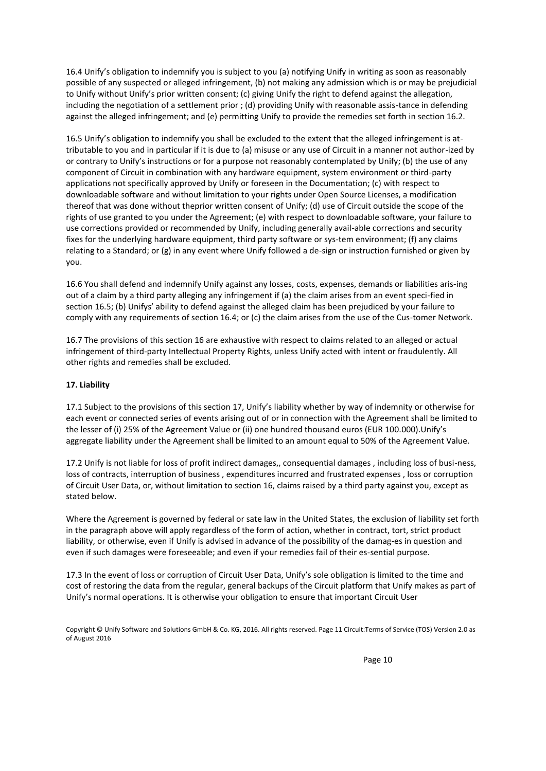16.4 Unify's obligation to indemnify you is subject to you (a) notifying Unify in writing as soon as reasonably possible of any suspected or alleged infringement, (b) not making any admission which is or may be prejudicial to Unify without Unify's prior written consent; (c) giving Unify the right to defend against the allegation, including the negotiation of a settlement prior ; (d) providing Unify with reasonable assis-tance in defending against the alleged infringement; and (e) permitting Unify to provide the remedies set forth in section 16.2.

16.5 Unify's obligation to indemnify you shall be excluded to the extent that the alleged infringement is attributable to you and in particular if it is due to (a) misuse or any use of Circuit in a manner not author-ized by or contrary to Unify's instructions or for a purpose not reasonably contemplated by Unify; (b) the use of any component of Circuit in combination with any hardware equipment, system environment or third-party applications not specifically approved by Unify or foreseen in the Documentation; (c) with respect to downloadable software and without limitation to your rights under Open Source Licenses, a modification thereof that was done without theprior written consent of Unify; (d) use of Circuit outside the scope of the rights of use granted to you under the Agreement; (e) with respect to downloadable software, your failure to use corrections provided or recommended by Unify, including generally avail-able corrections and security fixes for the underlying hardware equipment, third party software or sys-tem environment; (f) any claims relating to a Standard; or (g) in any event where Unify followed a de-sign or instruction furnished or given by you.

16.6 You shall defend and indemnify Unify against any losses, costs, expenses, demands or liabilities aris-ing out of a claim by a third party alleging any infringement if (a) the claim arises from an event speci-fied in section 16.5; (b) Unifys' ability to defend against the alleged claim has been prejudiced by your failure to comply with any requirements of section 16.4; or (c) the claim arises from the use of the Cus-tomer Network.

16.7 The provisions of this section 16 are exhaustive with respect to claims related to an alleged or actual infringement of third-party Intellectual Property Rights, unless Unify acted with intent or fraudulently. All other rights and remedies shall be excluded.

### **17. Liability**

17.1 Subject to the provisions of this section 17, Unify's liability whether by way of indemnity or otherwise for each event or connected series of events arising out of or in connection with the Agreement shall be limited to the lesser of (i) 25% of the Agreement Value or (ii) one hundred thousand euros (EUR 100.000).Unify's aggregate liability under the Agreement shall be limited to an amount equal to 50% of the Agreement Value.

17.2 Unify is not liable for loss of profit indirect damages,, consequential damages , including loss of busi-ness, loss of contracts, interruption of business , expenditures incurred and frustrated expenses , loss or corruption of Circuit User Data, or, without limitation to section 16, claims raised by a third party against you, except as stated below.

Where the Agreement is governed by federal or sate law in the United States, the exclusion of liability set forth in the paragraph above will apply regardless of the form of action, whether in contract, tort, strict product liability, or otherwise, even if Unify is advised in advance of the possibility of the damag-es in question and even if such damages were foreseeable; and even if your remedies fail of their es-sential purpose.

17.3 In the event of loss or corruption of Circuit User Data, Unify's sole obligation is limited to the time and cost of restoring the data from the regular, general backups of the Circuit platform that Unify makes as part of Unify's normal operations. It is otherwise your obligation to ensure that important Circuit User

Copyright © Unify Software and Solutions GmbH & Co. KG, 2016. All rights reserved. Page 11 Circuit:Terms of Service (TOS) Version 2.0 as of August 2016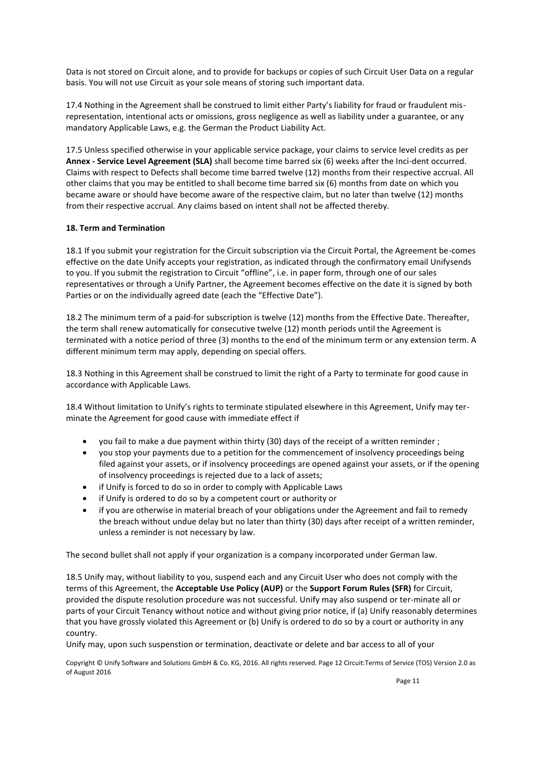Data is not stored on Circuit alone, and to provide for backups or copies of such Circuit User Data on a regular basis. You will not use Circuit as your sole means of storing such important data.

17.4 Nothing in the Agreement shall be construed to limit either Party's liability for fraud or fraudulent misrepresentation, intentional acts or omissions, gross negligence as well as liability under a guarantee, or any mandatory Applicable Laws, e.g. the German the Product Liability Act.

17.5 Unless specified otherwise in your applicable service package, your claims to service level credits as per **Annex - Service Level Agreement (SLA)** shall become time barred six (6) weeks after the Inci-dent occurred. Claims with respect to Defects shall become time barred twelve (12) months from their respective accrual. All other claims that you may be entitled to shall become time barred six (6) months from date on which you became aware or should have become aware of the respective claim, but no later than twelve (12) months from their respective accrual. Any claims based on intent shall not be affected thereby.

# **18. Term and Termination**

18.1 If you submit your registration for the Circuit subscription via the Circuit Portal, the Agreement be-comes effective on the date Unify accepts your registration, as indicated through the confirmatory email Unifysends to you. If you submit the registration to Circuit "offline", i.e. in paper form, through one of our sales representatives or through a Unify Partner, the Agreement becomes effective on the date it is signed by both Parties or on the individually agreed date (each the "Effective Date").

18.2 The minimum term of a paid-for subscription is twelve (12) months from the Effective Date. Thereafter, the term shall renew automatically for consecutive twelve (12) month periods until the Agreement is terminated with a notice period of three (3) months to the end of the minimum term or any extension term. A different minimum term may apply, depending on special offers.

18.3 Nothing in this Agreement shall be construed to limit the right of a Party to terminate for good cause in accordance with Applicable Laws.

18.4 Without limitation to Unify's rights to terminate stipulated elsewhere in this Agreement, Unify may terminate the Agreement for good cause with immediate effect if

- you fail to make a due payment within thirty (30) days of the receipt of a written reminder ;
- you stop your payments due to a petition for the commencement of insolvency proceedings being filed against your assets, or if insolvency proceedings are opened against your assets, or if the opening of insolvency proceedings is rejected due to a lack of assets;
- if Unify is forced to do so in order to comply with Applicable Laws
- if Unify is ordered to do so by a competent court or authority or
- if you are otherwise in material breach of your obligations under the Agreement and fail to remedy the breach without undue delay but no later than thirty (30) days after receipt of a written reminder, unless a reminder is not necessary by law.

The second bullet shall not apply if your organization is a company incorporated under German law.

18.5 Unify may, without liability to you, suspend each and any Circuit User who does not comply with the terms of this Agreement, the **Acceptable Use Policy (AUP)** or the **Support Forum Rules (SFR)** for Circuit, provided the dispute resolution procedure was not successful. Unify may also suspend or ter-minate all or parts of your Circuit Tenancy without notice and without giving prior notice, if (a) Unify reasonably determines that you have grossly violated this Agreement or (b) Unify is ordered to do so by a court or authority in any country.

Unify may, upon such suspenstion or termination, deactivate or delete and bar access to all of your

Copyright © Unify Software and Solutions GmbH & Co. KG, 2016. All rights reserved. Page 12 Circuit:Terms of Service (TOS) Version 2.0 as of August 2016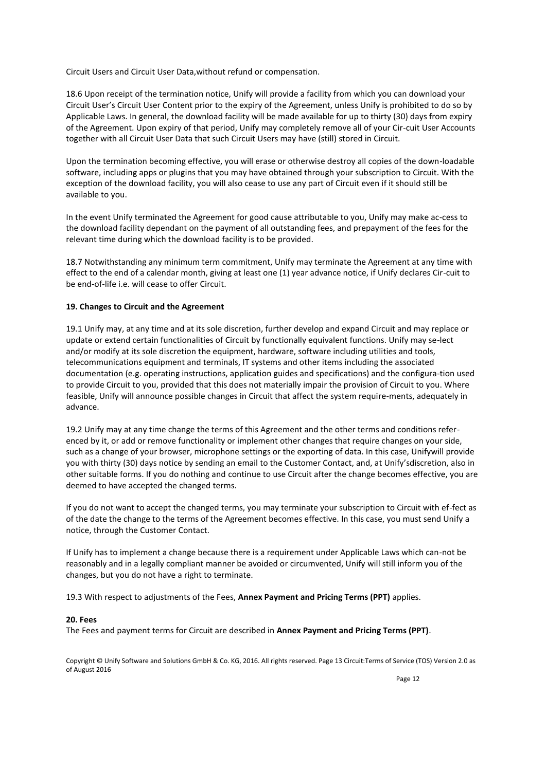Circuit Users and Circuit User Data,without refund or compensation.

18.6 Upon receipt of the termination notice, Unify will provide a facility from which you can download your Circuit User's Circuit User Content prior to the expiry of the Agreement, unless Unify is prohibited to do so by Applicable Laws. In general, the download facility will be made available for up to thirty (30) days from expiry of the Agreement. Upon expiry of that period, Unify may completely remove all of your Cir-cuit User Accounts together with all Circuit User Data that such Circuit Users may have (still) stored in Circuit.

Upon the termination becoming effective, you will erase or otherwise destroy all copies of the down-loadable software, including apps or plugins that you may have obtained through your subscription to Circuit. With the exception of the download facility, you will also cease to use any part of Circuit even if it should still be available to you.

In the event Unify terminated the Agreement for good cause attributable to you, Unify may make ac-cess to the download facility dependant on the payment of all outstanding fees, and prepayment of the fees for the relevant time during which the download facility is to be provided.

18.7 Notwithstanding any minimum term commitment, Unify may terminate the Agreement at any time with effect to the end of a calendar month, giving at least one (1) year advance notice, if Unify declares Cir-cuit to be end-of-life i.e. will cease to offer Circuit.

## **19. Changes to Circuit and the Agreement**

19.1 Unify may, at any time and at its sole discretion, further develop and expand Circuit and may replace or update or extend certain functionalities of Circuit by functionally equivalent functions. Unify may se-lect and/or modify at its sole discretion the equipment, hardware, software including utilities and tools, telecommunications equipment and terminals, IT systems and other items including the associated documentation (e.g. operating instructions, application guides and specifications) and the configura-tion used to provide Circuit to you, provided that this does not materially impair the provision of Circuit to you. Where feasible, Unify will announce possible changes in Circuit that affect the system require-ments, adequately in advance.

19.2 Unify may at any time change the terms of this Agreement and the other terms and conditions referenced by it, or add or remove functionality or implement other changes that require changes on your side, such as a change of your browser, microphone settings or the exporting of data. In this case, Unifywill provide you with thirty (30) days notice by sending an email to the Customer Contact, and, at Unify'sdiscretion, also in other suitable forms. If you do nothing and continue to use Circuit after the change becomes effective, you are deemed to have accepted the changed terms.

If you do not want to accept the changed terms, you may terminate your subscription to Circuit with ef-fect as of the date the change to the terms of the Agreement becomes effective. In this case, you must send Unify a notice, through the Customer Contact.

If Unify has to implement a change because there is a requirement under Applicable Laws which can-not be reasonably and in a legally compliant manner be avoided or circumvented, Unify will still inform you of the changes, but you do not have a right to terminate.

19.3 With respect to adjustments of the Fees, **Annex Payment and Pricing Terms (PPT)** applies.

#### **20. Fees**

The Fees and payment terms for Circuit are described in **Annex Payment and Pricing Terms (PPT)**.

Copyright © Unify Software and Solutions GmbH & Co. KG, 2016. All rights reserved. Page 13 Circuit:Terms of Service (TOS) Version 2.0 as of August 2016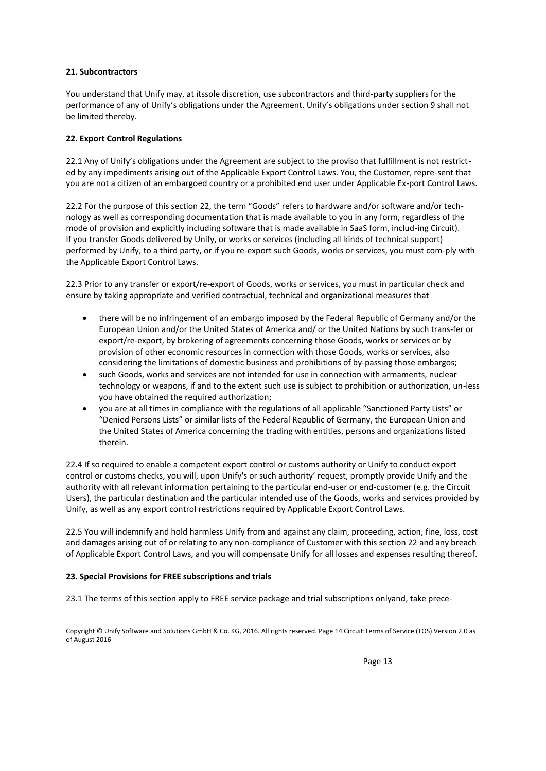# **21. Subcontractors**

You understand that Unify may, at itssole discretion, use subcontractors and third-party suppliers for the performance of any of Unify's obligations under the Agreement. Unify's obligations under section 9 shall not be limited thereby.

# **22. Export Control Regulations**

22.1 Any of Unify's obligations under the Agreement are subject to the proviso that fulfillment is not restricted by any impediments arising out of the Applicable Export Control Laws. You, the Customer, repre-sent that you are not a citizen of an embargoed country or a prohibited end user under Applicable Ex-port Control Laws.

22.2 For the purpose of this section 22, the term "Goods" refers to hardware and/or software and/or technology as well as corresponding documentation that is made available to you in any form, regardless of the mode of provision and explicitly including software that is made available in SaaS form, includ-ing Circuit). If you transfer Goods delivered by Unify, or works or services (including all kinds of technical support) performed by Unify, to a third party, or if you re-export such Goods, works or services, you must com-ply with the Applicable Export Control Laws.

22.3 Prior to any transfer or export/re-export of Goods, works or services, you must in particular check and ensure by taking appropriate and verified contractual, technical and organizational measures that

- there will be no infringement of an embargo imposed by the Federal Republic of Germany and/or the European Union and/or the United States of America and/ or the United Nations by such trans-fer or export/re-export, by brokering of agreements concerning those Goods, works or services or by provision of other economic resources in connection with those Goods, works or services, also considering the limitations of domestic business and prohibitions of by-passing those embargos;
- such Goods, works and services are not intended for use in connection with armaments, nuclear technology or weapons, if and to the extent such use is subject to prohibition or authorization, un-less you have obtained the required authorization;
- you are at all times in compliance with the regulations of all applicable "Sanctioned Party Lists" or "Denied Persons Lists" or similar lists of the Federal Republic of Germany, the European Union and the United States of America concerning the trading with entities, persons and organizations listed therein.

22.4 If so required to enable a competent export control or customs authority or Unify to conduct export control or customs checks, you will, upon Unify's or such authority' request, promptly provide Unify and the authority with all relevant information pertaining to the particular end-user or end-customer (e.g. the Circuit Users), the particular destination and the particular intended use of the Goods, works and services provided by Unify, as well as any export control restrictions required by Applicable Export Control Laws.

22.5 You will indemnify and hold harmless Unify from and against any claim, proceeding, action, fine, loss, cost and damages arising out of or relating to any non-compliance of Customer with this section 22 and any breach of Applicable Export Control Laws, and you will compensate Unify for all losses and expenses resulting thereof.

# **23. Special Provisions for FREE subscriptions and trials**

23.1 The terms of this section apply to FREE service package and trial subscriptions onlyand, take prece-

Copyright © Unify Software and Solutions GmbH & Co. KG, 2016. All rights reserved. Page 14 Circuit:Terms of Service (TOS) Version 2.0 as of August 2016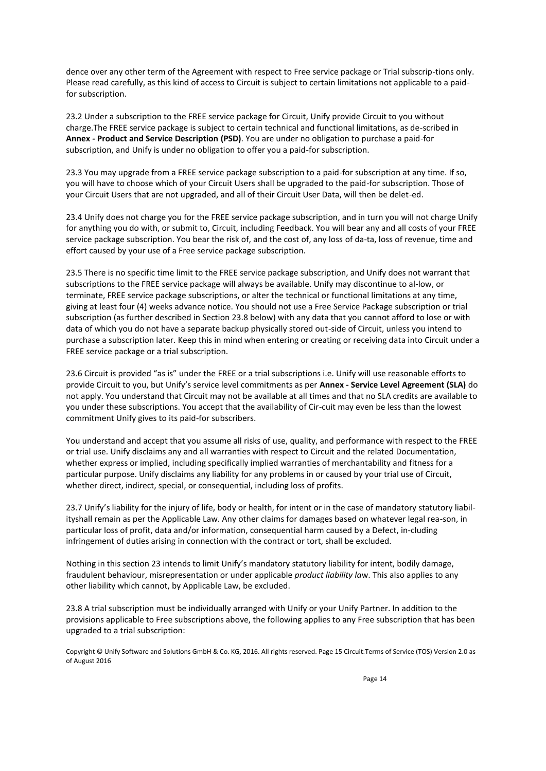dence over any other term of the Agreement with respect to Free service package or Trial subscrip-tions only. Please read carefully, as this kind of access to Circuit is subject to certain limitations not applicable to a paidfor subscription.

23.2 Under a subscription to the FREE service package for Circuit, Unify provide Circuit to you without charge.The FREE service package is subject to certain technical and functional limitations, as de-scribed in **Annex - Product and Service Description (PSD)**. You are under no obligation to purchase a paid-for subscription, and Unify is under no obligation to offer you a paid-for subscription.

23.3 You may upgrade from a FREE service package subscription to a paid-for subscription at any time. If so, you will have to choose which of your Circuit Users shall be upgraded to the paid-for subscription. Those of your Circuit Users that are not upgraded, and all of their Circuit User Data, will then be delet-ed.

23.4 Unify does not charge you for the FREE service package subscription, and in turn you will not charge Unify for anything you do with, or submit to, Circuit, including Feedback. You will bear any and all costs of your FREE service package subscription. You bear the risk of, and the cost of, any loss of da-ta, loss of revenue, time and effort caused by your use of a Free service package subscription.

23.5 There is no specific time limit to the FREE service package subscription, and Unify does not warrant that subscriptions to the FREE service package will always be available. Unify may discontinue to al-low, or terminate, FREE service package subscriptions, or alter the technical or functional limitations at any time, giving at least four (4) weeks advance notice. You should not use a Free Service Package subscription or trial subscription (as further described in Section 23.8 below) with any data that you cannot afford to lose or with data of which you do not have a separate backup physically stored out-side of Circuit, unless you intend to purchase a subscription later. Keep this in mind when entering or creating or receiving data into Circuit under a FREE service package or a trial subscription.

23.6 Circuit is provided "as is" under the FREE or a trial subscriptions i.e. Unify will use reasonable efforts to provide Circuit to you, but Unify's service level commitments as per **Annex - Service Level Agreement (SLA)** do not apply. You understand that Circuit may not be available at all times and that no SLA credits are available to you under these subscriptions. You accept that the availability of Cir-cuit may even be less than the lowest commitment Unify gives to its paid-for subscribers.

You understand and accept that you assume all risks of use, quality, and performance with respect to the FREE or trial use. Unify disclaims any and all warranties with respect to Circuit and the related Documentation, whether express or implied, including specifically implied warranties of merchantability and fitness for a particular purpose. Unify disclaims any liability for any problems in or caused by your trial use of Circuit, whether direct, indirect, special, or consequential, including loss of profits.

23.7 Unify's liability for the injury of life, body or health, for intent or in the case of mandatory statutory liabilityshall remain as per the Applicable Law. Any other claims for damages based on whatever legal rea-son, in particular loss of profit, data and/or information, consequential harm caused by a Defect, in-cluding infringement of duties arising in connection with the contract or tort, shall be excluded.

Nothing in this section 23 intends to limit Unify's mandatory statutory liability for intent, bodily damage, fraudulent behaviour, misrepresentation or under applicable *product liability la*w. This also applies to any other liability which cannot, by Applicable Law, be excluded.

23.8 A trial subscription must be individually arranged with Unify or your Unify Partner. In addition to the provisions applicable to Free subscriptions above, the following applies to any Free subscription that has been upgraded to a trial subscription:

Copyright © Unify Software and Solutions GmbH & Co. KG, 2016. All rights reserved. Page 15 Circuit:Terms of Service (TOS) Version 2.0 as of August 2016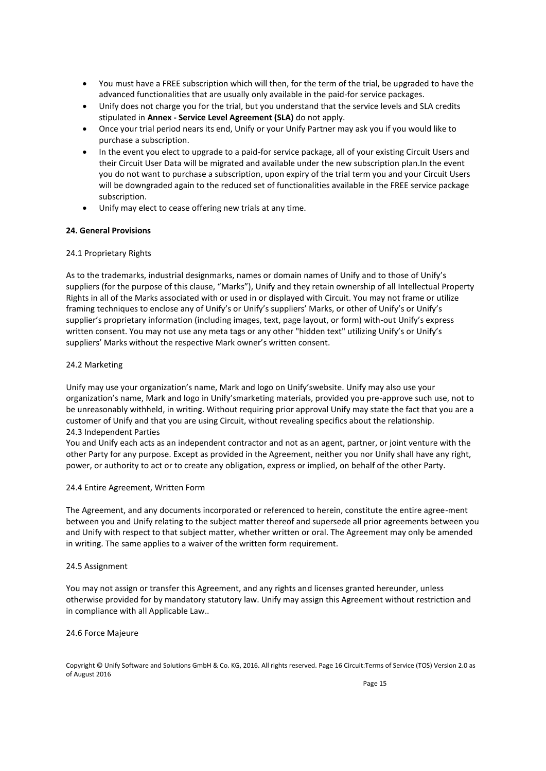- You must have a FREE subscription which will then, for the term of the trial, be upgraded to have the advanced functionalities that are usually only available in the paid-for service packages.
- Unify does not charge you for the trial, but you understand that the service levels and SLA credits stipulated in **Annex - Service Level Agreement (SLA)** do not apply.
- Once your trial period nears its end, Unify or your Unify Partner may ask you if you would like to purchase a subscription.
- In the event you elect to upgrade to a paid-for service package, all of your existing Circuit Users and their Circuit User Data will be migrated and available under the new subscription plan.In the event you do not want to purchase a subscription, upon expiry of the trial term you and your Circuit Users will be downgraded again to the reduced set of functionalities available in the FREE service package subscription.
- Unify may elect to cease offering new trials at any time.

### **24. General Provisions**

### 24.1 Proprietary Rights

As to the trademarks, industrial designmarks, names or domain names of Unify and to those of Unify's suppliers (for the purpose of this clause, "Marks"), Unify and they retain ownership of all Intellectual Property Rights in all of the Marks associated with or used in or displayed with Circuit. You may not frame or utilize framing techniques to enclose any of Unify's or Unify's suppliers' Marks, or other of Unify's or Unify's supplier's proprietary information (including images, text, page layout, or form) with-out Unify's express written consent. You may not use any meta tags or any other "hidden text" utilizing Unify's or Unify's suppliers' Marks without the respective Mark owner's written consent.

### 24.2 Marketing

Unify may use your organization's name, Mark and logo on Unify'swebsite. Unify may also use your organization's name, Mark and logo in Unify'smarketing materials, provided you pre-approve such use, not to be unreasonably withheld, in writing. Without requiring prior approval Unify may state the fact that you are a customer of Unify and that you are using Circuit, without revealing specifics about the relationship. 24.3 Independent Parties

You and Unify each acts as an independent contractor and not as an agent, partner, or joint venture with the other Party for any purpose. Except as provided in the Agreement, neither you nor Unify shall have any right, power, or authority to act or to create any obligation, express or implied, on behalf of the other Party.

#### 24.4 Entire Agreement, Written Form

The Agreement, and any documents incorporated or referenced to herein, constitute the entire agree-ment between you and Unify relating to the subject matter thereof and supersede all prior agreements between you and Unify with respect to that subject matter, whether written or oral. The Agreement may only be amended in writing. The same applies to a waiver of the written form requirement.

#### 24.5 Assignment

You may not assign or transfer this Agreement, and any rights and licenses granted hereunder, unless otherwise provided for by mandatory statutory law. Unify may assign this Agreement without restriction and in compliance with all Applicable Law..

#### 24.6 Force Majeure

Copyright © Unify Software and Solutions GmbH & Co. KG, 2016. All rights reserved. Page 16 Circuit:Terms of Service (TOS) Version 2.0 as of August 2016